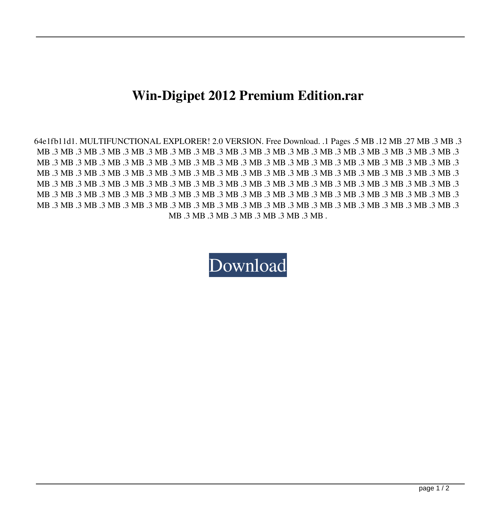## **Win-Digipet 2012 Premium Edition.rar**

64e1fb11d1. MULTIFUNCTIONAL EXPLORER! 2.0 VERSION. Free Download. .1 Pages .5 MB .12 MB .27 MB .3 MB .3 MB .3 MB .3 MB .3 MB .3 MB .3 MB .3 MB .3 MB .3 MB .3 MB .3 MB .3 MB .3 MB .3 MB .3 MB .3 MB .3 MB .3 MB .3 MB .3 MB .3 MB .3 MB .3 MB .3 MB .3 MB .3 MB .3 MB .3 MB .3 MB .3 MB .3 MB .3 MB .3 MB .3 MB .3 MB .3 MB .3 MB .3 MB .3 MB .3 MB .3 MB .3 MB .3 MB .3 MB .3 MB .3 MB .3 MB .3 MB .3 MB .3 MB .3 MB .3 MB .3 MB .3 MB .3 MB .3 MB .3 MB .3 MB .3 MB .3 MB .3 MB .3 MB .3 MB .3 MB .3 MB .3 MB .3 MB .3 MB .3 MB .3 MB .3 MB .3 MB .3 MB .3 MB .3 MB .3 MB .3 MB .3 MB .3 MB .3 MB .3 MB .3 MB .3 MB .3 MB .3 MB .3 MB .3 MB .3 MB .3 MB .3 MB .3 MB .3 MB .3 MB .3 MB .3 MB .3 MB .3 MB .3 MB .3 MB .3 MB .3 MB .3 MB .3 MB .3 MB .3 MB .3 MB .3 MB .3 MB .3 MB .3 MB .3 MB .3 MB .3 MB .3 MB .3 MB .